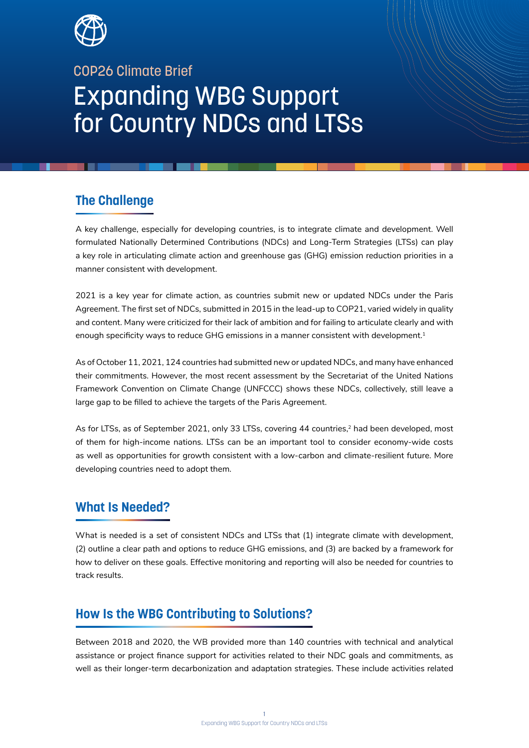

# COP26 Climate Brief Expanding WBG Support for Country NDCs and LTSs

## **The Challenge**

A key challenge, especially for developing countries, is to integrate climate and development. Well formulated Nationally Determined Contributions (NDCs) and Long-Term Strategies (LTSs) can play a key role in articulating climate action and greenhouse gas (GHG) emission reduction priorities in a manner consistent with development.

2021 is a key year for climate action, as countries submit new or updated NDCs under the Paris Agreement. The first set of NDCs, submitted in 2015 in the lead-up to COP21, varied widely in quality and content. Many were criticized for their lack of ambition and for failing to articulate clearly and with enough specificity ways to reduce GHG emissions in a manner consistent with development.<sup>1</sup>

As of October 11, 2021, 124 countries had submitted new or updated NDCs, and many have enhanced their commitments. However, the most recent assessment by the Secretariat of the United Nations Framework Convention on Climate Change (UNFCCC) shows these NDCs, collectively, still leave a large gap to be filled to achieve the targets of the Paris Agreement.

As for LTSs, as of September 2021, only 33 LTSs, covering 44 countries,<sup>2</sup> had been developed, most of them for high-income nations. LTSs can be an important tool to consider economy-wide costs as well as opportunities for growth consistent with a low-carbon and climate-resilient future. More developing countries need to adopt them.

### **What Is Needed?**

What is needed is a set of consistent NDCs and LTSs that (1) integrate climate with development, (2) outline a clear path and options to reduce GHG emissions, and (3) are backed by a framework for how to deliver on these goals. Effective monitoring and reporting will also be needed for countries to track results.

### **How Is the WBG Contributing to Solutions?**

Between 2018 and 2020, the WB provided more than 140 countries with technical and analytical assistance or project finance support for activities related to their NDC goals and commitments, as well as their longer-term decarbonization and adaptation strategies. These include activities related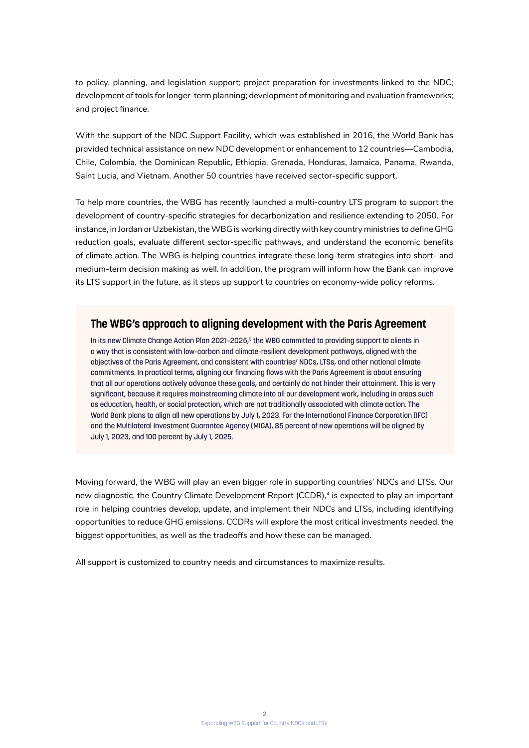to policy, planning, and legislation support; project preparation for investments linked to the NDC; development of tools for longer-term planning; development of monitoring and evaluation frameworks; and project finance.

With the support of the NDC Support Facility, which was established in 2016, the World Bank has provided technical assistance on new NDC development or enhancement to 12 countries—Cambodia, Chile, Colombia, the Dominican Republic, Ethiopia, Grenada, Honduras, Jamaica, Panama, Rwanda, Saint Lucia, and Vietnam. Another 50 countries have received sector-specific support.

To help more countries, the WBG has recently launched a multi-country LTS program to support the development of country-specific strategies for decarbonization and resilience extending to 2050. For instance, in Jordan or Uzbekistan, the WBG is working directly with key country ministries to define GHG reduction goals, evaluate different sector-specific pathways, and understand the economic benefits of climate action. The WBG is helping countries integrate these long-term strategies into short- and medium-term decision making as well. In addition, the program will inform how the Bank can improve its LTS support in the future, as it steps up support to countries on economy-wide policy reforms.

#### **The WBG's approach to aligning development with the Paris Agreement**

In its new Climate Change Action Plan 2021–2025, $^3$  the WBG committed to providing support to clients in a way that is consistent with low-carbon and climate-resilient development pathways, aligned with the objectives of the Paris Agreement, and consistent with countries' NDCs, LTSs, and other national climate commitments. In practical terms, aligning our financing flows with the Paris Agreement is about ensuring that all our operations actively advance these goals, and certainly do not hinder their attainment. This is very significant, because it requires mainstreaming climate into all our development work, including in areas such as education, health, or social protection, which are not traditionally associated with climate action. The World Bank plans to align all new operations by July 1, 2023. For the International Finance Corporation (IFC) and the Multilateral Investment Guarantee Agency (MIGA), 85 percent of new operations will be aligned by July 1, 2023, and 100 percent by July 1, 2025.

Moving forward, the WBG will play an even bigger role in supporting countries' NDCs and LTSs. Our new diagnostic, the Country Climate Development Report (CCDR),<sup>4</sup> is expected to play an important role in helping countries develop, update, and implement their NDCs and LTSs, including identifying opportunities to reduce GHG emissions. CCDRs will explore the most critical investments needed, the biggest opportunities, as well as the tradeoffs and how these can be managed.

All support is customized to country needs and circumstances to maximize results.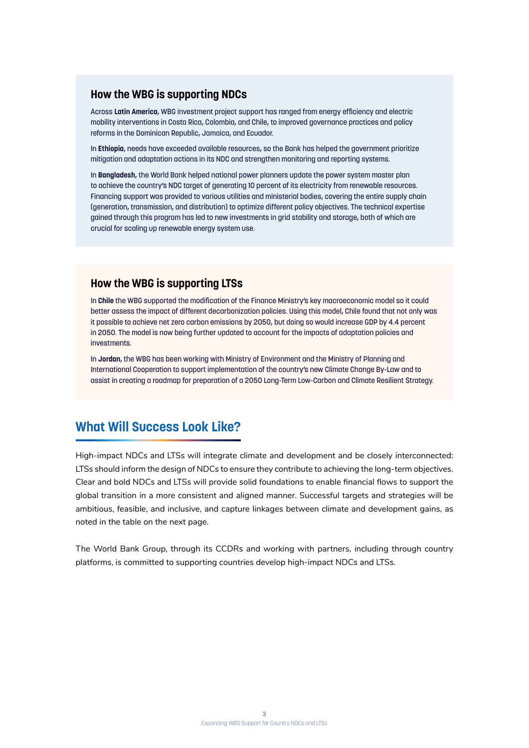#### **How the WBG is supporting NDCs**

Across **Latin America**, WBG investment project support has ranged from energy efficiency and electric mobility interventions in Costa Rica, Colombia, and Chile, to improved governance practices and policy reforms in the Dominican Republic, Jamaica, and Ecuador.

In **Ethiopia**, needs have exceeded available resources, so the Bank has helped the government prioritize mitigation and adaptation actions in its NDC and strengthen monitoring and reporting systems.

In **Bangladesh**, the World Bank helped national power planners update the power system master plan to achieve the country's NDC target of generating 10 percent of its electricity from renewable resources. Financing support was provided to various utilities and ministerial bodies, covering the entire supply chain (generation, transmission, and distribution) to optimize different policy objectives. The technical expertise gained through this program has led to new investments in grid stability and storage, both of which are crucial for scaling up renewable energy system use.

#### **How the WBG is supporting LTSs**

In **Chile** the WBG supported the modification of the Finance Ministry's key macroeconomic model so it could better assess the impact of different decarbonization policies. Using this model, Chile found that not only was it possible to achieve net zero carbon emissions by 2050, but doing so would increase GDP by 4.4 percent in 2050. The model is now being further updated to account for the impacts of adaptation policies and investments.

In **Jordan**, the WBG has been working with Ministry of Environment and the Ministry of Planning and International Cooperation to support implementation of the country's new Climate Change By-Law and to assist in creating a roadmap for preparation of a 2050 Long-Term Low-Carbon and Climate Resilient Strategy.

### **What Will Success Look Like?**

High-impact NDCs and LTSs will integrate climate and development and be closely interconnected: LTSs should inform the design of NDCs to ensure they contribute to achieving the long-term objectives. Clear and bold NDCs and LTSs will provide solid foundations to enable financial flows to support the global transition in a more consistent and aligned manner. Successful targets and strategies will be ambitious, feasible, and inclusive, and capture linkages between climate and development gains, as noted in the table on the next page.

The World Bank Group, through its CCDRs and working with partners, including through country platforms, is committed to supporting countries develop high-impact NDCs and LTSs.